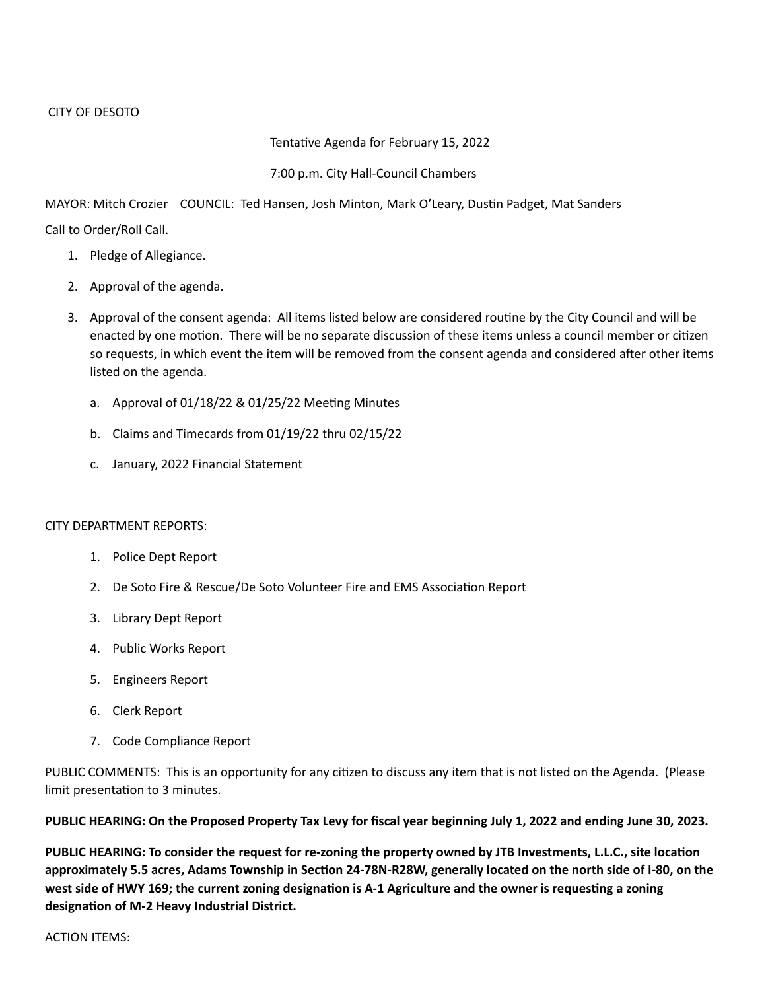## Tentative Agenda for February 15, 2022

## 7:00 p.m. City Hall-Council Chambers

MAYOR: Mitch Crozier COUNCIL: Ted Hansen, Josh Minton, Mark O'Leary, Dustin Padget, Mat Sanders

Call to Order/Roll Call.

- 1. Pledge of Allegiance.
- 2. Approval of the agenda.
- 3. Approval of the consent agenda: All items listed below are considered routine by the City Council and will be enacted by one motion. There will be no separate discussion of these items unless a council member or citizen so requests, in which event the item will be removed from the consent agenda and considered after other items listed on the agenda.
	- a. Approval of 01/18/22 & 01/25/22 Meeting Minutes
	- b. Claims and Timecards from 01/19/22 thru 02/15/22
	- c. January, 2022 Financial Statement

## CITY DEPARTMENT REPORTS:

- 1. Police Dept Report
- 2. De Soto Fire & Rescue/De Soto Volunteer Fire and EMS Association Report
- 3. Library Dept Report
- 4. Public Works Report
- 5. Engineers Report
- 6. Clerk Report
- 7. Code Compliance Report

PUBLIC COMMENTS: This is an opportunity for any citizen to discuss any item that is not listed on the Agenda. (Please limit presentation to 3 minutes.

**PUBLIC HEARING: On the Proposed Property Tax Levy for fiscal year beginning July 1, 2022 and ending June 30, 2023.**

**PUBLIC HEARING: To consider the request for re-zoning the property owned by JTB Investments, L.L.C., site location approximately 5.5 acres, Adams Township in Section 24-78N-R28W, generally located on the north side of I-80, on the west side of HWY 169; the current zoning designation is A-1 Agriculture and the owner is requesting a zoning designation of M-2 Heavy Industrial District.**

ACTION ITEMS: